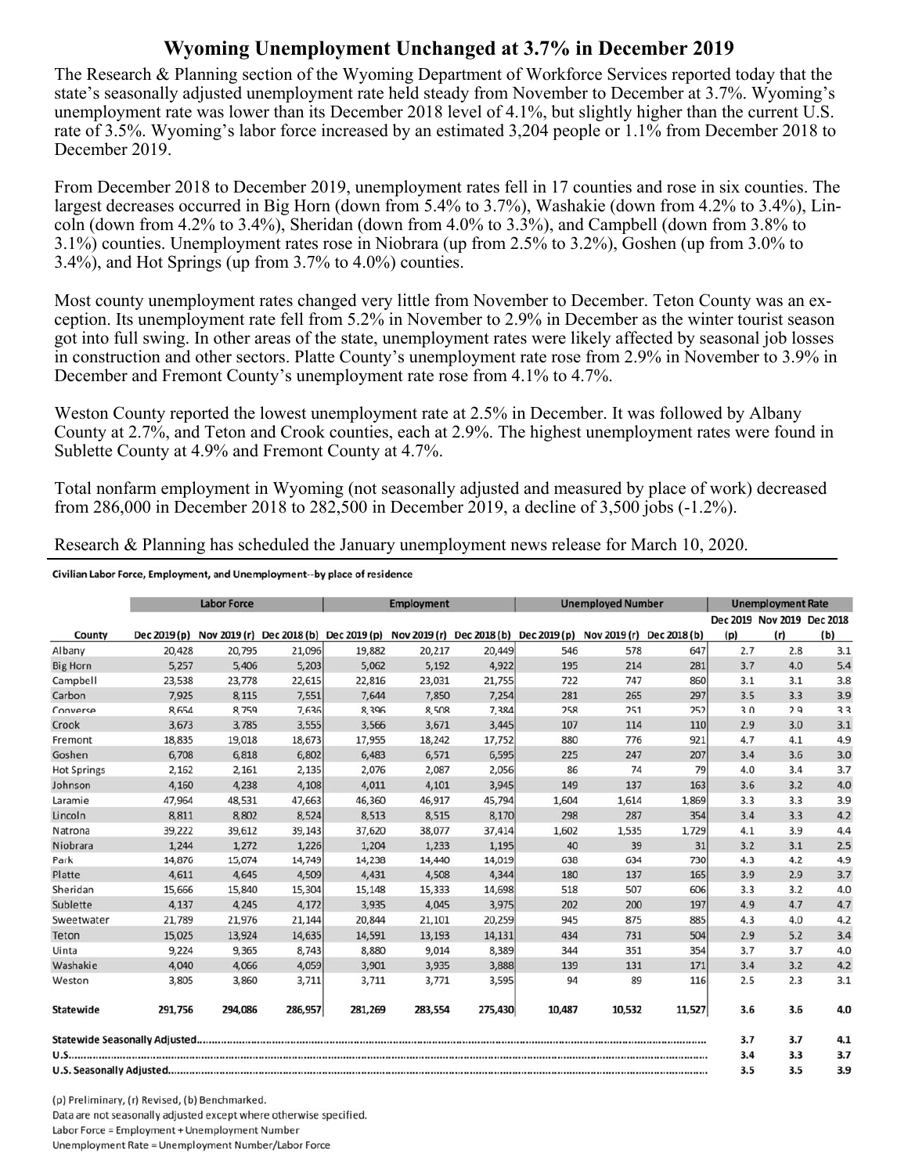## **Wyoming Unemployment Unchanged at 3.7% in December 2019**

The Research & Planning section of the Wyoming Department of Workforce Services reported today that the state's seasonally adjusted unemployment rate held steady from November to December at 3.7%. Wyoming's unemployment rate was lower than its December 2018 level of 4.1%, but slightly higher than the current U.S. rate of 3.5%. Wyoming's labor force increased by an estimated 3,204 people or 1.1% from December 2018 to December 2019.

From December 2018 to December 2019, unemployment rates fell in 17 counties and rose in six counties. The largest decreases occurred in Big Horn (down from 5.4% to 3.7%), Washakie (down from 4.2% to 3.4%), Lincoln (down from 4.2% to 3.4%), Sheridan (down from 4.0% to 3.3%), and Campbell (down from 3.8% to 3.1%) counties. Unemployment rates rose in Niobrara (up from 2.5% to 3.2%), Goshen (up from 3.0% to 3.4%), and Hot Springs (up from 3.7% to 4.0%) counties.

Most county unemployment rates changed very little from November to December. Teton County was an exception. Its unemployment rate fell from 5.2% in November to 2.9% in December as the winter tourist season got into full swing. In other areas of the state, unemployment rates were likely affected by seasonal job losses in construction and other sectors. Platte County's unemployment rate rose from 2.9% in November to 3.9% in December and Fremont County's unemployment rate rose from 4.1% to 4.7%.

Weston County reported the lowest unemployment rate at 2.5% in December. It was followed by Albany County at 2.7%, and Teton and Crook counties, each at 2.9%. The highest unemployment rates were found in Sublette County at 4.9% and Fremont County at 4.7%.

Total nonfarm employment in Wyoming (not seasonally adjusted and measured by place of work) decreased from 286,000 in December 2018 to 282,500 in December 2019, a decline of 3,500 jobs (-1.2%).

Civilian Labor Force, Employment, and Unemployment--by place of residence

|                    | <b>Labor Force</b> |         |         | <b>Employment</b>                                                             |         |         | <b>Unemployed Number</b> |                           |        | <b>Unemployment Rate</b> |                            |     |
|--------------------|--------------------|---------|---------|-------------------------------------------------------------------------------|---------|---------|--------------------------|---------------------------|--------|--------------------------|----------------------------|-----|
|                    |                    |         |         |                                                                               |         |         |                          |                           |        |                          | Dec 2019 Nov 2019 Dec 2018 |     |
| County             | Dec 2019 (p)       |         |         | Nov 2019 (r) Dec 2018 (b) Dec 2019 (p) Nov 2019 (r) Dec 2018 (b) Dec 2019 (p) |         |         |                          | Nov 2019 (r) Dec 2018 (b) |        | (p)                      | (r)                        | (b) |
| Albany             | 20,428             | 20,795  | 21,096  | 19,882                                                                        | 20,217  | 20,449  | 546                      | 578                       | 647    | 2.7                      | 2.8                        | 3.1 |
| <b>Big Horn</b>    | 5,257              | 5,406   | 5,203   | 5,062                                                                         | 5,192   | 4,922   | 195                      | 214                       | 281    | 3.7                      | 4.0                        | 5.4 |
| Campbell           | 23,538             | 23,778  | 22,615  | 22,816                                                                        | 23,031  | 21,755  | 722                      | 747                       | 860    | 3.1                      | 3.1                        | 3.8 |
| Carbon             | 7,925              | 8,115   | 7,551   | 7,644                                                                         | 7,850   | 7,254   | 281                      | 265                       | 297    | 3.5                      | 3.3                        | 3.9 |
| Converse           | 8,654              | 8,759   | 7,636   | 8,396                                                                         | 8,508   | 7,384   | 258                      | 251                       | 252    | 3.0                      | 2.9                        | 3.3 |
| Crook              | 3,673              | 3,785   | 3,555   | 3,566                                                                         | 3,671   | 3,445   | 107                      | 114                       | 110    | 2.9                      | 3.0                        | 3.1 |
| Fremont            | 18,835             | 19,018  | 18,673  | 17,955                                                                        | 18,242  | 17,752  | 880                      | 776                       | 921    | 4.7                      | 4.1                        | 4.9 |
| Goshen             | 6,708              | 6,818   | 6,802   | 6,483                                                                         | 6,571   | 6,595   | 225                      | 247                       | 207    | 3.4                      | 3.6                        | 3.0 |
| <b>Hot Springs</b> | 2,162              | 2,161   | 2,135   | 2,076                                                                         | 2,087   | 2,056   | 86                       | 74                        | 79     | 4.0                      | 3.4                        | 3.7 |
| Johnson            | 4,160              | 4,238   | 4,108   | 4,011                                                                         | 4,101   | 3,945   | 149                      | 137                       | 163    | 3.6                      | 3.2                        | 4.0 |
| Laramie            | 47,964             | 48,531  | 47,663  | 46,360                                                                        | 46,917  | 45,794  | 1,604                    | 1,614                     | 1,869  | 3.3                      | 3.3                        | 3.9 |
| Lincoln            | 8,811              | 8,802   | 8,524   | 8,513                                                                         | 8,515   | 8,170   | 298                      | 287                       | 354    | 3.4                      | 3.3                        | 4.2 |
| Natrona            | 39,222             | 39,612  | 39,143  | 37,620                                                                        | 38,077  | 37,414  | 1,602                    | 1,535                     | 1,729  | 4.1                      | 3.9                        | 4.4 |
| Niobrara           | 1,244              | 1,272   | 1,226   | 1,204                                                                         | 1,233   | 1,195   | 40                       | 39                        | 31     | 3.2                      | 3.1                        | 2.5 |
| Park               | 14,876             | 15,074  | 14,749  | 14,238                                                                        | 14,440  | 14,019  | 638                      | 634                       | 730    | 4.3                      | 4.2                        | 4.9 |
| Platte             | 4,611              | 4,645   | 4,509   | 4,431                                                                         | 4,508   | 4,344   | 180                      | 137                       | 165    | 3.9                      | 2.9                        | 3.7 |
| Sheridan           | 15,666             | 15,840  | 15,304  | 15,148                                                                        | 15,333  | 14,698  | 518                      | 507                       | 606    | 3.3                      | 3.2                        | 4.0 |
| Sublette           | 4,137              | 4,245   | 4,172   | 3,935                                                                         | 4,045   | 3,975   | 202                      | 200                       | 197    | 4.9                      | 4.7                        | 4.7 |
| Sweetwater         | 21,789             | 21,976  | 21,144  | 20,844                                                                        | 21,101  | 20,259  | 945                      | 875                       | 885    | 4.3                      | 4.0                        | 4.2 |
| Teton              | 15,025             | 13,924  | 14,635  | 14,591                                                                        | 13,193  | 14,131  | 434                      | 731                       | 504    | 2.9                      | 5.2                        | 3.4 |
| Uinta              | 9,224              | 9,365   | 8,743   | 8,880                                                                         | 9,014   | 8,389   | 344                      | 351                       | 354    | 3.7                      | 3.7                        | 4.0 |
| Washakie           | 4,040              | 4,066   | 4,059   | 3,901                                                                         | 3,935   | 3,888   | 139                      | 131                       | 171    | 3.4                      | 3.2                        | 4.2 |
| Weston             | 3,805              | 3,860   | 3,711   | 3,711                                                                         | 3,771   | 3,595   | 94                       | 89                        | 116    | 2.5                      | 2.3                        | 3.1 |
| Statewide          | 291,756            | 294,086 | 286,957 | 281,269                                                                       | 283,554 | 275,430 | 10,487                   | 10,532                    | 11,527 | 3.6                      | 3.6                        | 4.0 |
|                    |                    |         |         |                                                                               |         |         |                          |                           |        | 3.7                      | 3.7                        | 4.1 |
|                    |                    |         |         |                                                                               |         |         | 3.4                      | 3.3                       | 3.7    |                          |                            |     |
|                    |                    |         |         |                                                                               |         |         |                          |                           |        | 3.5                      | 3.5                        | 3.9 |

(p) Preliminary, (r) Revised, (b) Benchmarked. Data are not seasonally adjusted except where otherwise specified. Labor Force = Employment + Unemployment Number Unemployment Rate = Unemployment Number/Labor Force